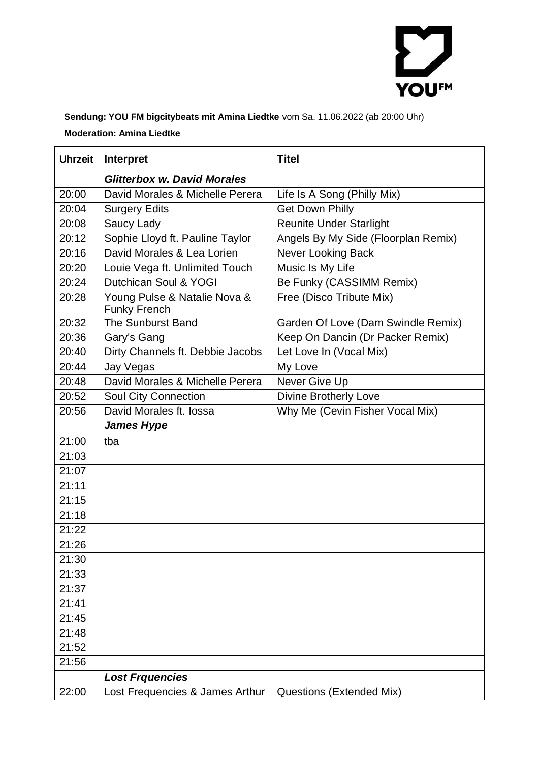

**Sendung: YOU FM bigcitybeats mit Amina Liedtke** vom Sa. 11.06.2022 (ab 20:00 Uhr) **Moderation: Amina Liedtke**

| <b>Uhrzeit</b> | Interpret                                           | <b>Titel</b>                        |
|----------------|-----------------------------------------------------|-------------------------------------|
|                | <b>Glitterbox w. David Morales</b>                  |                                     |
| 20:00          | David Morales & Michelle Perera                     | Life Is A Song (Philly Mix)         |
| 20:04          | <b>Surgery Edits</b>                                | <b>Get Down Philly</b>              |
| 20:08          | Saucy Lady                                          | <b>Reunite Under Starlight</b>      |
| 20:12          | Sophie Lloyd ft. Pauline Taylor                     | Angels By My Side (Floorplan Remix) |
| 20:16          | David Morales & Lea Lorien                          | <b>Never Looking Back</b>           |
| 20:20          | Louie Vega ft. Unlimited Touch                      | Music Is My Life                    |
| 20:24          | Dutchican Soul & YOGI                               | Be Funky (CASSIMM Remix)            |
| 20:28          | Young Pulse & Natalie Nova &<br><b>Funky French</b> | Free (Disco Tribute Mix)            |
| 20:32          | <b>The Sunburst Band</b>                            | Garden Of Love (Dam Swindle Remix)  |
| 20:36          | Gary's Gang                                         | Keep On Dancin (Dr Packer Remix)    |
| 20:40          | Dirty Channels ft. Debbie Jacobs                    | Let Love In (Vocal Mix)             |
| 20:44          | Jay Vegas                                           | My Love                             |
| 20:48          | David Morales & Michelle Perera                     | Never Give Up                       |
| 20:52          | <b>Soul City Connection</b>                         | <b>Divine Brotherly Love</b>        |
| 20:56          | David Morales ft. lossa                             | Why Me (Cevin Fisher Vocal Mix)     |
|                | <b>James Hype</b>                                   |                                     |
| 21:00          | tba                                                 |                                     |
| 21:03          |                                                     |                                     |
| 21:07          |                                                     |                                     |
| 21:11          |                                                     |                                     |
| 21:15          |                                                     |                                     |
| 21:18          |                                                     |                                     |
| 21:22          |                                                     |                                     |
| 21:26          |                                                     |                                     |
| 21:30          |                                                     |                                     |
| 21:33          |                                                     |                                     |
| 21:37          |                                                     |                                     |
| 21:41          |                                                     |                                     |
| 21:45          |                                                     |                                     |
| 21:48          |                                                     |                                     |
| 21:52          |                                                     |                                     |
| 21:56          |                                                     |                                     |
|                | <b>Lost Frquencies</b>                              |                                     |
| 22:00          | Lost Frequencies & James Arthur                     | Questions (Extended Mix)            |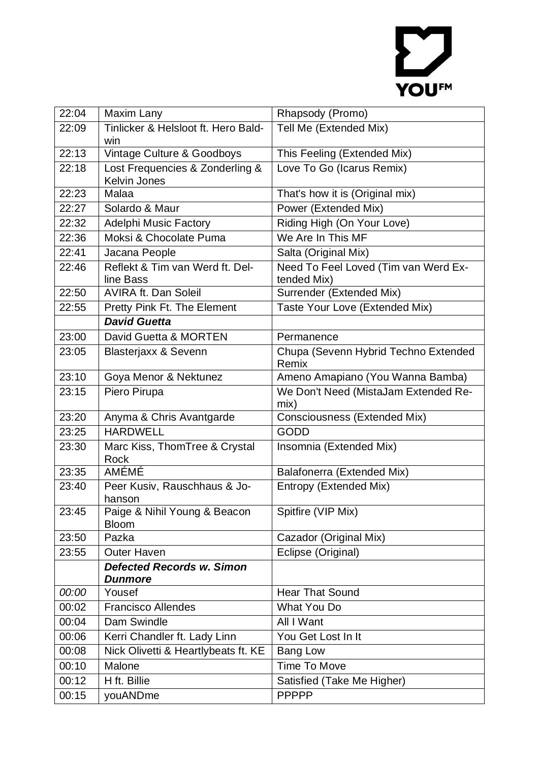## YOUFM

| 22:04 | Maxim Lany                                             | Rhapsody (Promo)                                    |
|-------|--------------------------------------------------------|-----------------------------------------------------|
| 22:09 | Tinlicker & Helsloot ft. Hero Bald-                    | Tell Me (Extended Mix)                              |
|       | win                                                    |                                                     |
| 22:13 | Vintage Culture & Goodboys                             | This Feeling (Extended Mix)                         |
| 22:18 | Lost Frequencies & Zonderling &<br><b>Kelvin Jones</b> | Love To Go (Icarus Remix)                           |
| 22:23 | Malaa                                                  | That's how it is (Original mix)                     |
| 22:27 | Solardo & Maur                                         | Power (Extended Mix)                                |
| 22:32 | <b>Adelphi Music Factory</b>                           | Riding High (On Your Love)                          |
| 22:36 | Moksi & Chocolate Puma                                 | We Are In This MF                                   |
| 22:41 | Jacana People                                          | Salta (Original Mix)                                |
| 22:46 | Reflekt & Tim van Werd ft. Del-<br>line Bass           | Need To Feel Loved (Tim van Werd Ex-<br>tended Mix) |
| 22:50 | <b>AVIRA ft. Dan Soleil</b>                            | Surrender (Extended Mix)                            |
| 22:55 | Pretty Pink Ft. The Element                            | Taste Your Love (Extended Mix)                      |
|       | <b>David Guetta</b>                                    |                                                     |
| 23:00 | David Guetta & MORTEN                                  | Permanence                                          |
| 23:05 | <b>Blasterjaxx &amp; Sevenn</b>                        | Chupa (Sevenn Hybrid Techno Extended<br>Remix       |
| 23:10 | Goya Menor & Nektunez                                  | Ameno Amapiano (You Wanna Bamba)                    |
| 23:15 | Piero Pirupa                                           | We Don't Need (MistaJam Extended Re-<br>mix)        |
| 23:20 | Anyma & Chris Avantgarde                               | Consciousness (Extended Mix)                        |
| 23:25 | <b>HARDWELL</b>                                        | <b>GODD</b>                                         |
| 23:30 | Marc Kiss, ThomTree & Crystal<br>Rock                  | Insomnia (Extended Mix)                             |
| 23:35 | AMÉMÉ                                                  | Balafonerra (Extended Mix)                          |
| 23:40 | Peer Kusiv, Rauschhaus & Jo-<br>hanson                 | Entropy (Extended Mix)                              |
| 23:45 | Paige & Nihil Young & Beacon<br><b>Bloom</b>           | Spitfire (VIP Mix)                                  |
| 23:50 | Pazka                                                  | Cazador (Original Mix)                              |
| 23:55 | <b>Outer Haven</b>                                     | Eclipse (Original)                                  |
|       | <b>Defected Records w. Simon</b><br><b>Dunmore</b>     |                                                     |
| 00:00 | Yousef                                                 | <b>Hear That Sound</b>                              |
| 00:02 | <b>Francisco Allendes</b>                              | What You Do                                         |
| 00:04 | Dam Swindle                                            | All I Want                                          |
| 00:06 | Kerri Chandler ft. Lady Linn                           | You Get Lost In It                                  |
| 00:08 | Nick Olivetti & Heartlybeats ft. KE                    | <b>Bang Low</b>                                     |
| 00:10 | Malone                                                 | Time To Move                                        |
| 00:12 | H ft. Billie                                           | Satisfied (Take Me Higher)                          |
| 00:15 | youANDme                                               | <b>PPPPP</b>                                        |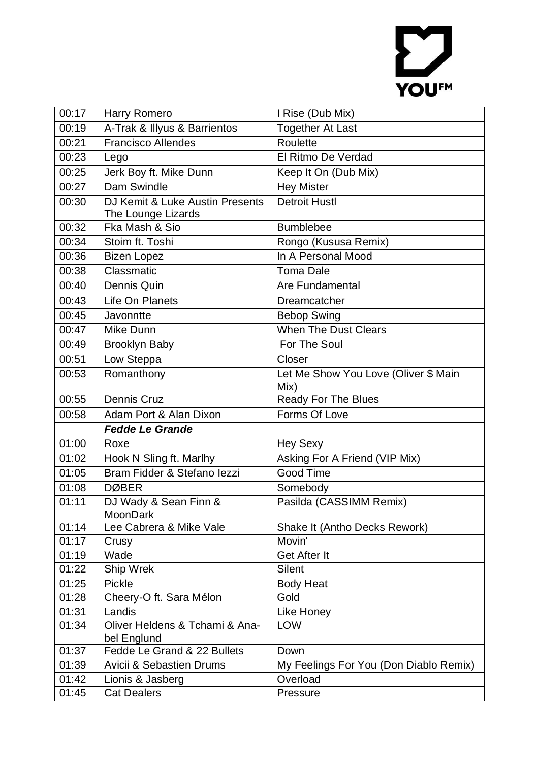## YOUFM

| 00:17 | Harry Romero                                  | I Rise (Dub Mix)                             |
|-------|-----------------------------------------------|----------------------------------------------|
| 00:19 | A-Trak & Illyus & Barrientos                  | <b>Together At Last</b>                      |
| 00:21 | <b>Francisco Allendes</b>                     | Roulette                                     |
| 00:23 | Lego                                          | El Ritmo De Verdad                           |
| 00:25 | Jerk Boy ft. Mike Dunn                        | Keep It On (Dub Mix)                         |
| 00:27 | Dam Swindle                                   | <b>Hey Mister</b>                            |
| 00:30 | DJ Kemit & Luke Austin Presents               | <b>Detroit Hustl</b>                         |
|       | The Lounge Lizards                            |                                              |
| 00:32 | Fka Mash & Sio                                | <b>Bumblebee</b>                             |
| 00:34 | Stoim ft. Toshi                               | Rongo (Kususa Remix)                         |
| 00:36 | <b>Bizen Lopez</b>                            | In A Personal Mood                           |
| 00:38 | Classmatic                                    | <b>Toma Dale</b>                             |
| 00:40 | Dennis Quin                                   | Are Fundamental                              |
| 00:43 | Life On Planets                               | Dreamcatcher                                 |
| 00:45 | Javonntte                                     | <b>Bebop Swing</b>                           |
| 00:47 | Mike Dunn                                     | <b>When The Dust Clears</b>                  |
| 00:49 | <b>Brooklyn Baby</b>                          | For The Soul                                 |
| 00:51 | Low Steppa                                    | Closer                                       |
| 00:53 | Romanthony                                    | Let Me Show You Love (Oliver \$ Main<br>Mix) |
| 00:55 | <b>Dennis Cruz</b>                            | Ready For The Blues                          |
| 00:58 | Adam Port & Alan Dixon                        | Forms Of Love                                |
|       | <b>Fedde Le Grande</b>                        |                                              |
| 01:00 | Roxe                                          | <b>Hey Sexy</b>                              |
| 01:02 | Hook N Sling ft. Marlhy                       | Asking For A Friend (VIP Mix)                |
| 01:05 | Bram Fidder & Stefano lezzi                   | <b>Good Time</b>                             |
| 01:08 | <b>DØBER</b>                                  | Somebody                                     |
| 01:11 | DJ Wady & Sean Finn &<br>MoonDark             | Pasilda (CASSIMM Remix)                      |
| 01:14 | Lee Cabrera & Mike Vale                       | Shake It (Antho Decks Rework)                |
| 01:17 | Crusy                                         | Movin'                                       |
| 01:19 | Wade                                          | Get After It                                 |
| 01:22 | Ship Wrek                                     | <b>Silent</b>                                |
| 01:25 | <b>Pickle</b>                                 | <b>Body Heat</b>                             |
| 01:28 | Cheery-O ft. Sara Mélon                       | Gold                                         |
| 01:31 | Landis                                        | Like Honey                                   |
| 01:34 | Oliver Heldens & Tchami & Ana-<br>bel Englund | <b>LOW</b>                                   |
| 01:37 | Fedde Le Grand & 22 Bullets                   | Down                                         |
| 01:39 | <b>Avicii &amp; Sebastien Drums</b>           | My Feelings For You (Don Diablo Remix)       |
| 01:42 | Lionis & Jasberg                              | Overload                                     |
| 01:45 | <b>Cat Dealers</b>                            | Pressure                                     |